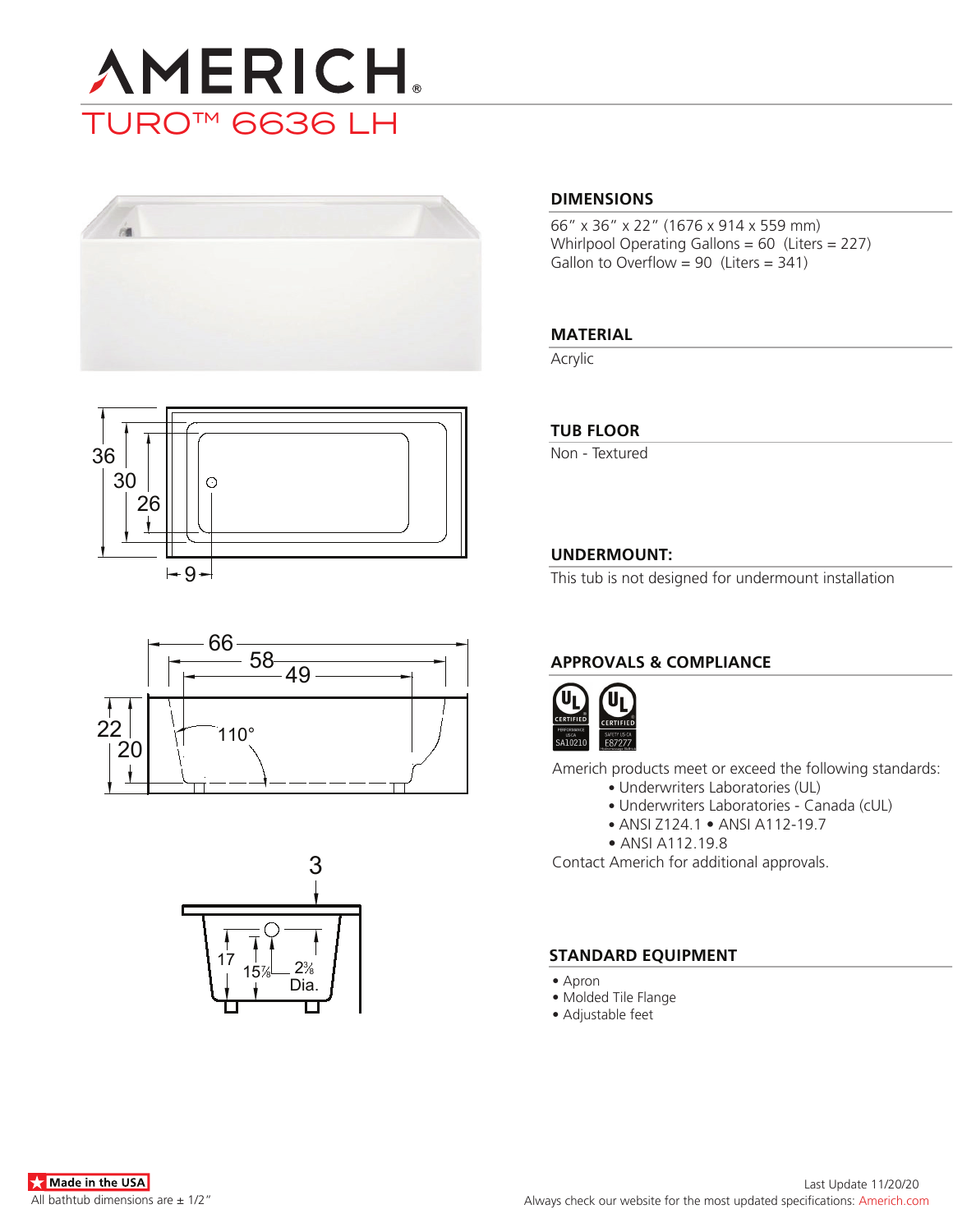









### **DIMENSIONS**

66" x 36" x 22" (1676 x 914 x 559 mm) Whirlpool Operating Gallons = 60 (Liters = 227) Gallon to Overflow =  $90$  (Liters =  $341$ )

### **MATERIAL**

Acrylic

### **TUB FLOOR**

Non - Textured

## **UNDERMOUNT:**

This tub is not designed for undermount installation

# **APPROVALS & COMPLIANCE**



Americh products meet or exceed the following standards:

- Underwriters Laboratories (UL)
	- Underwriters Laboratories Canada (cUL)
	- ANSI Z124.1 ANSI A112-19.7
- ANSI A112.19.8

Contact Americh for additional approvals.

### **STANDARD EQUIPMENT**

- Apron
- Molded Tile Flange
- Adjustable feet